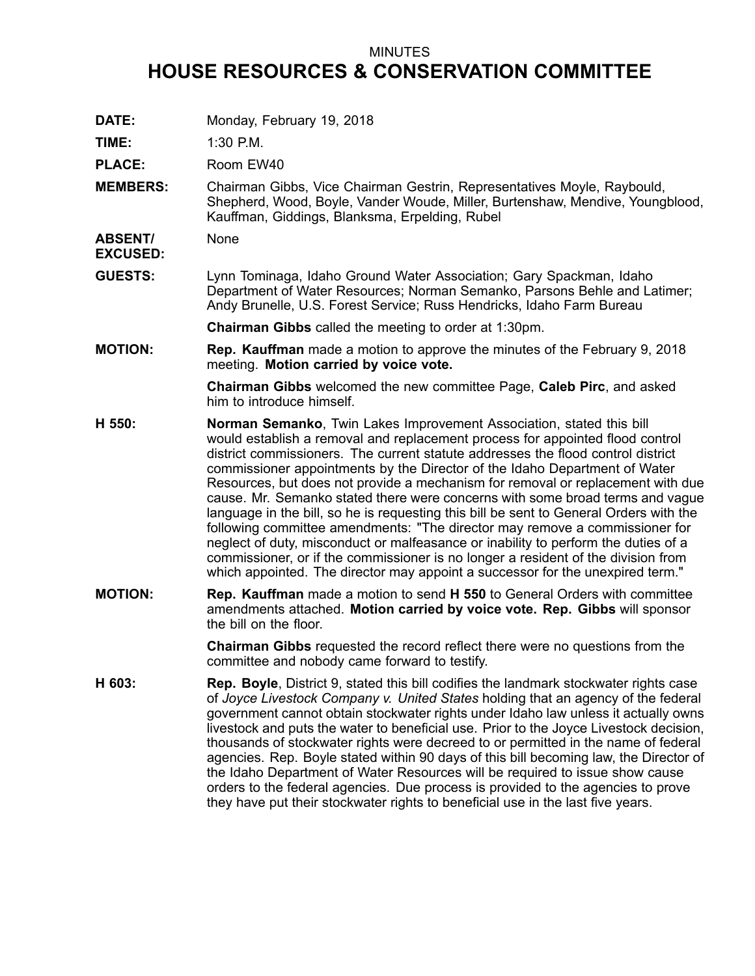## MINUTES

## **HOUSE RESOURCES & CONSERVATION COMMITTEE**

**DATE:** Monday, February 19, 2018

**TIME:** 1:30 P.M.

PLACE: Room EW40

**MEMBERS:** Chairman Gibbs, Vice Chairman Gestrin, Representatives Moyle, Raybould, Shepherd, Wood, Boyle, Vander Woude, Miller, Burtenshaw, Mendive, Youngblood, Kauffman, Giddings, Blanksma, Erpelding, Rubel

**ABSENT/** None

**EXCUSED:**

**GUESTS:** Lynn Tominaga, Idaho Ground Water Association; Gary Spackman, Idaho Department of Water Resources; Norman Semanko, Parsons Behle and Latimer; Andy Brunelle, U.S. Forest Service; Russ Hendricks, Idaho Farm Bureau

**Chairman Gibbs** called the meeting to order at 1:30pm.

**MOTION: Rep. Kauffman** made <sup>a</sup> motion to approve the minutes of the February 9, 2018 meeting. **Motion carried by voice vote.**

> **Chairman Gibbs** welcomed the new committee Page, **Caleb Pirc**, and asked him to introduce himself.

- **H 550: Norman Semanko**, Twin Lakes Improvement Association, stated this bill would establish <sup>a</sup> removal and replacement process for appointed flood control district commissioners. The current statute addresses the flood control district commissioner appointments by the Director of the Idaho Department of Water Resources, but does not provide <sup>a</sup> mechanism for removal or replacement with due cause. Mr. Semanko stated there were concerns with some broad terms and vague language in the bill, so he is requesting this bill be sent to General Orders with the following committee amendments: "The director may remove <sup>a</sup> commissioner for neglect of duty, misconduct or malfeasance or inability to perform the duties of <sup>a</sup> commissioner, or if the commissioner is no longer <sup>a</sup> resident of the division from which appointed. The director may appoint a successor for the unexpired term."
- **MOTION: Rep. Kauffman** made <sup>a</sup> motion to send **H 550** to General Orders with committee amendments attached. **Motion carried by voice vote. Rep. Gibbs** will sponsor the bill on the floor.

**Chairman Gibbs** requested the record reflect there were no questions from the committee and nobody came forward to testify.

**H 603: Rep. Boyle**, District 9, stated this bill codifies the landmark stockwater rights case of *Joyce Livestock Company v. United States* holding that an agency of the federal government cannot obtain stockwater rights under Idaho law unless it actually owns livestock and puts the water to beneficial use. Prior to the Joyce Livestock decision, thousands of stockwater rights were decreed to or permitted in the name of federal agencies. Rep. Boyle stated within 90 days of this bill becoming law, the Director of the Idaho Department of Water Resources will be required to issue show cause orders to the federal agencies. Due process is provided to the agencies to prove they have put their stockwater rights to beneficial use in the last five years.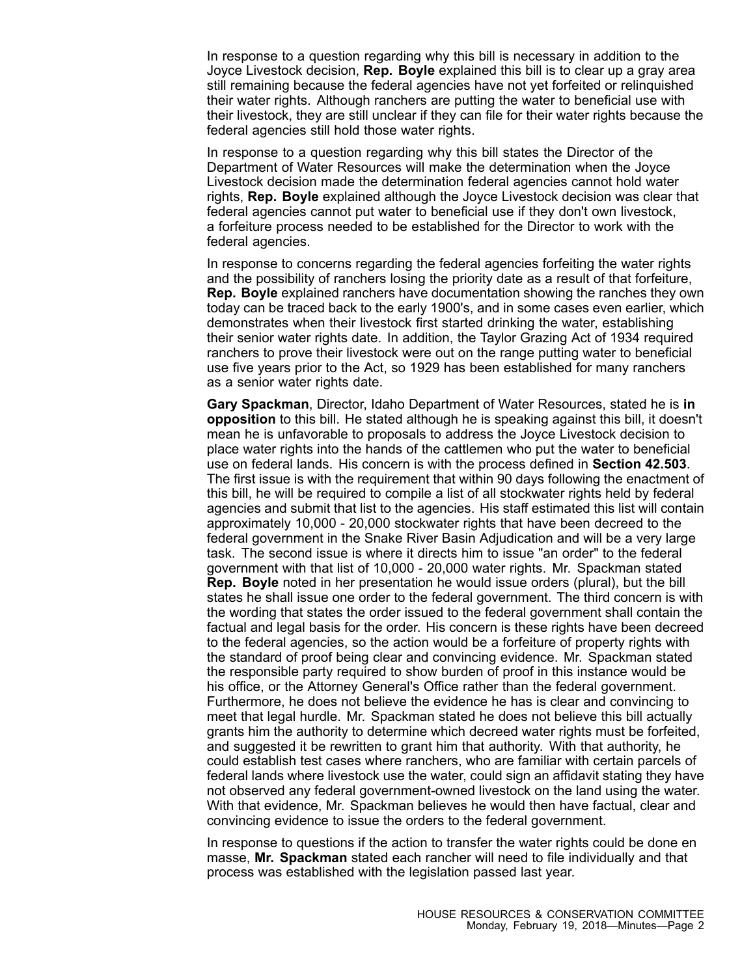In response to <sup>a</sup> question regarding why this bill is necessary in addition to the Joyce Livestock decision, **Rep. Boyle** explained this bill is to clear up <sup>a</sup> gray area still remaining because the federal agencies have not yet forfeited or relinquished their water rights. Although ranchers are putting the water to beneficial use with their livestock, they are still unclear if they can file for their water rights because the federal agencies still hold those water rights.

In response to <sup>a</sup> question regarding why this bill states the Director of the Department of Water Resources will make the determination when the Joyce Livestock decision made the determination federal agencies cannot hold water rights, **Rep. Boyle** explained although the Joyce Livestock decision was clear that federal agencies cannot put water to beneficial use if they don't own livestock, <sup>a</sup> forfeiture process needed to be established for the Director to work with the federal agencies.

In response to concerns regarding the federal agencies forfeiting the water rights and the possibility of ranchers losing the priority date as <sup>a</sup> result of that forfeiture, **Rep. Boyle** explained ranchers have documentation showing the ranches they own today can be traced back to the early 1900's, and in some cases even earlier, which demonstrates when their livestock first started drinking the water, establishing their senior water rights date. In addition, the Taylor Grazing Act of 1934 required ranchers to prove their livestock were out on the range putting water to beneficial use five years prior to the Act, so 1929 has been established for many ranchers as <sup>a</sup> senior water rights date.

**Gary Spackman**, Director, Idaho Department of Water Resources, stated he is **in opposition** to this bill. He stated although he is speaking against this bill, it doesn't mean he is unfavorable to proposals to address the Joyce Livestock decision to place water rights into the hands of the cattlemen who put the water to beneficial use on federal lands. His concern is with the process defined in **Section 42.503**. The first issue is with the requirement that within 90 days following the enactment of this bill, he will be required to compile <sup>a</sup> list of all stockwater rights held by federal agencies and submit that list to the agencies. His staff estimated this list will contain approximately 10,000 - 20,000 stockwater rights that have been decreed to the federal government in the Snake River Basin Adjudication and will be <sup>a</sup> very large task. The second issue is where it directs him to issue "an order" to the federal government with that list of 10,000 - 20,000 water rights. Mr. Spackman stated **Rep. Boyle** noted in her presentation he would issue orders (plural), but the bill states he shall issue one order to the federal government. The third concern is with the wording that states the order issued to the federal government shall contain the factual and legal basis for the order. His concern is these rights have been decreed to the federal agencies, so the action would be <sup>a</sup> forfeiture of property rights with the standard of proof being clear and convincing evidence. Mr. Spackman stated the responsible party required to show burden of proof in this instance would be his office, or the Attorney General's Office rather than the federal government. Furthermore, he does not believe the evidence he has is clear and convincing to meet that legal hurdle. Mr. Spackman stated he does not believe this bill actually grants him the authority to determine which decreed water rights must be forfeited, and suggested it be rewritten to grant him that authority. With that authority, he could establish test cases where ranchers, who are familiar with certain parcels of federal lands where livestock use the water, could sign an affidavit stating they have not observed any federal government-owned livestock on the land using the water. With that evidence, Mr. Spackman believes he would then have factual, clear and convincing evidence to issue the orders to the federal government.

In response to questions if the action to transfer the water rights could be done en masse, **Mr. Spackman** stated each rancher will need to file individually and that process was established with the legislation passed last year.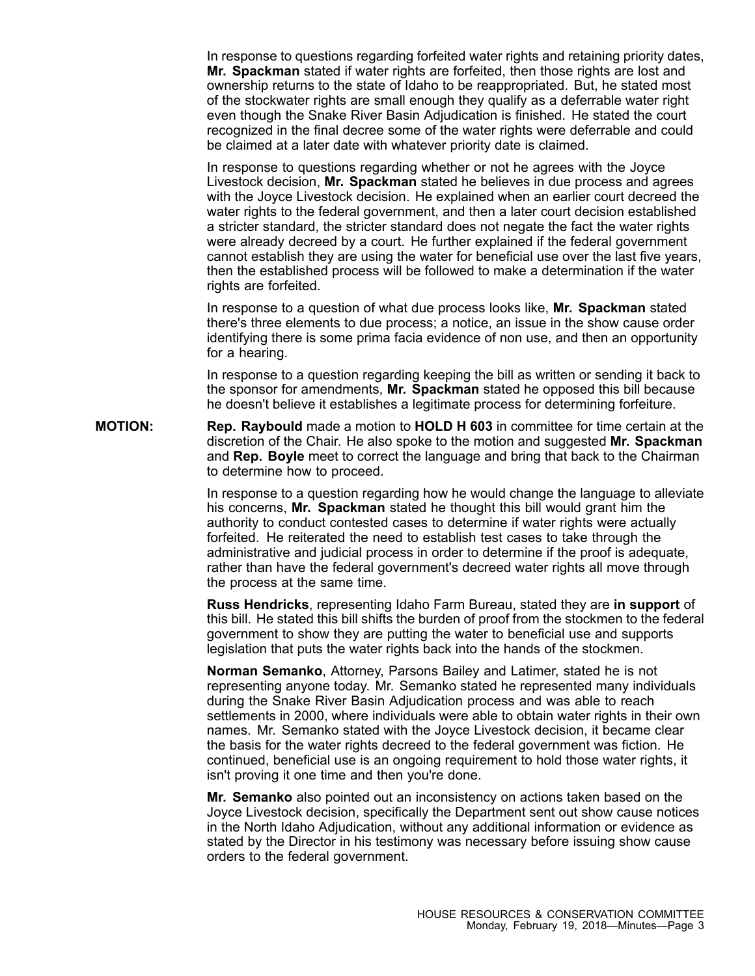In response to questions regarding forfeited water rights and retaining priority dates, **Mr. Spackman** stated if water rights are forfeited, then those rights are lost and ownership returns to the state of Idaho to be reappropriated. But, he stated most of the stockwater rights are small enough they qualify as <sup>a</sup> deferrable water right even though the Snake River Basin Adjudication is finished. He stated the court recognized in the final decree some of the water rights were deferrable and could be claimed at <sup>a</sup> later date with whatever priority date is claimed.

In response to questions regarding whether or not he agrees with the Joyce Livestock decision, **Mr. Spackman** stated he believes in due process and agrees with the Joyce Livestock decision. He explained when an earlier court decreed the water rights to the federal government, and then <sup>a</sup> later court decision established <sup>a</sup> stricter standard, the stricter standard does not negate the fact the water rights were already decreed by <sup>a</sup> court. He further explained if the federal government cannot establish they are using the water for beneficial use over the last five years, then the established process will be followed to make <sup>a</sup> determination if the water rights are forfeited.

In response to <sup>a</sup> question of what due process looks like, **Mr. Spackman** stated there's three elements to due process; <sup>a</sup> notice, an issue in the show cause order identifying there is some prima facia evidence of non use, and then an opportunity for <sup>a</sup> hearing.

In response to <sup>a</sup> question regarding keeping the bill as written or sending it back to the sponsor for amendments, **Mr. Spackman** stated he opposed this bill because he doesn't believe it establishes <sup>a</sup> legitimate process for determining forfeiture.

**MOTION: Rep. Raybould** made <sup>a</sup> motion to **HOLD H 603** in committee for time certain at the discretion of the Chair. He also spoke to the motion and suggested **Mr. Spackman** and **Rep. Boyle** meet to correct the language and bring that back to the Chairman to determine how to proceed.

> In response to <sup>a</sup> question regarding how he would change the language to alleviate his concerns, **Mr. Spackman** stated he thought this bill would grant him the authority to conduct contested cases to determine if water rights were actually forfeited. He reiterated the need to establish test cases to take through the administrative and judicial process in order to determine if the proof is adequate, rather than have the federal government's decreed water rights all move through the process at the same time.

> **Russ Hendricks**, representing Idaho Farm Bureau, stated they are **in support** of this bill. He stated this bill shifts the burden of proof from the stockmen to the federal government to show they are putting the water to beneficial use and supports legislation that puts the water rights back into the hands of the stockmen.

> **Norman Semanko**, Attorney, Parsons Bailey and Latimer, stated he is not representing anyone today. Mr. Semanko stated he represented many individuals during the Snake River Basin Adjudication process and was able to reach settlements in 2000, where individuals were able to obtain water rights in their own names. Mr. Semanko stated with the Joyce Livestock decision, it became clear the basis for the water rights decreed to the federal government was fiction. He continued, beneficial use is an ongoing requirement to hold those water rights, it isn't proving it one time and then you're done.

> **Mr. Semanko** also pointed out an inconsistency on actions taken based on the Joyce Livestock decision, specifically the Department sent out show cause notices in the North Idaho Adjudication, without any additional information or evidence as stated by the Director in his testimony was necessary before issuing show cause orders to the federal government.